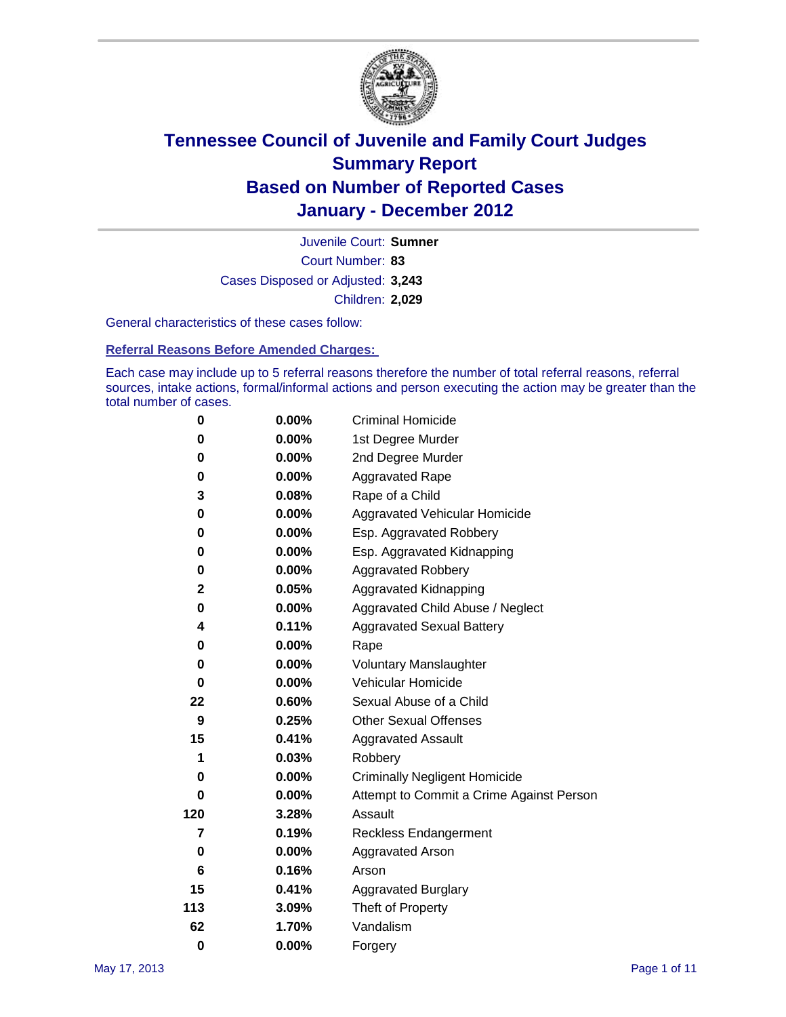

Court Number: **83** Juvenile Court: **Sumner** Cases Disposed or Adjusted: **3,243** Children: **2,029**

General characteristics of these cases follow:

**Referral Reasons Before Amended Charges:** 

Each case may include up to 5 referral reasons therefore the number of total referral reasons, referral sources, intake actions, formal/informal actions and person executing the action may be greater than the total number of cases.

| 0        | $0.00\%$ | <b>Criminal Homicide</b>                 |  |  |  |
|----------|----------|------------------------------------------|--|--|--|
| 0        | 0.00%    | 1st Degree Murder                        |  |  |  |
| 0        | $0.00\%$ | 2nd Degree Murder                        |  |  |  |
| 0        | $0.00\%$ | <b>Aggravated Rape</b>                   |  |  |  |
| 3        | 0.08%    | Rape of a Child                          |  |  |  |
| 0        | 0.00%    | Aggravated Vehicular Homicide            |  |  |  |
| 0        | 0.00%    | Esp. Aggravated Robbery                  |  |  |  |
| 0        | $0.00\%$ | Esp. Aggravated Kidnapping               |  |  |  |
| 0        | $0.00\%$ | <b>Aggravated Robbery</b>                |  |  |  |
| 2        | 0.05%    | Aggravated Kidnapping                    |  |  |  |
| 0        | 0.00%    | Aggravated Child Abuse / Neglect         |  |  |  |
| 4        | 0.11%    | <b>Aggravated Sexual Battery</b>         |  |  |  |
| 0        | 0.00%    | Rape                                     |  |  |  |
| 0        | $0.00\%$ | <b>Voluntary Manslaughter</b>            |  |  |  |
| 0        | 0.00%    | Vehicular Homicide                       |  |  |  |
| 22       | 0.60%    | Sexual Abuse of a Child                  |  |  |  |
| 9        | 0.25%    | <b>Other Sexual Offenses</b>             |  |  |  |
| 15       | 0.41%    | <b>Aggravated Assault</b>                |  |  |  |
| 1        | 0.03%    | Robbery                                  |  |  |  |
| 0        | 0.00%    | <b>Criminally Negligent Homicide</b>     |  |  |  |
| 0        | $0.00\%$ | Attempt to Commit a Crime Against Person |  |  |  |
| 120      | 3.28%    | Assault                                  |  |  |  |
| 7        | 0.19%    | <b>Reckless Endangerment</b>             |  |  |  |
| 0        | 0.00%    | <b>Aggravated Arson</b>                  |  |  |  |
| 6        | 0.16%    | Arson                                    |  |  |  |
| 15       | 0.41%    | <b>Aggravated Burglary</b>               |  |  |  |
| 113      | 3.09%    | Theft of Property                        |  |  |  |
| 62       | 1.70%    | Vandalism                                |  |  |  |
| $\bf{0}$ | 0.00%    | Forgery                                  |  |  |  |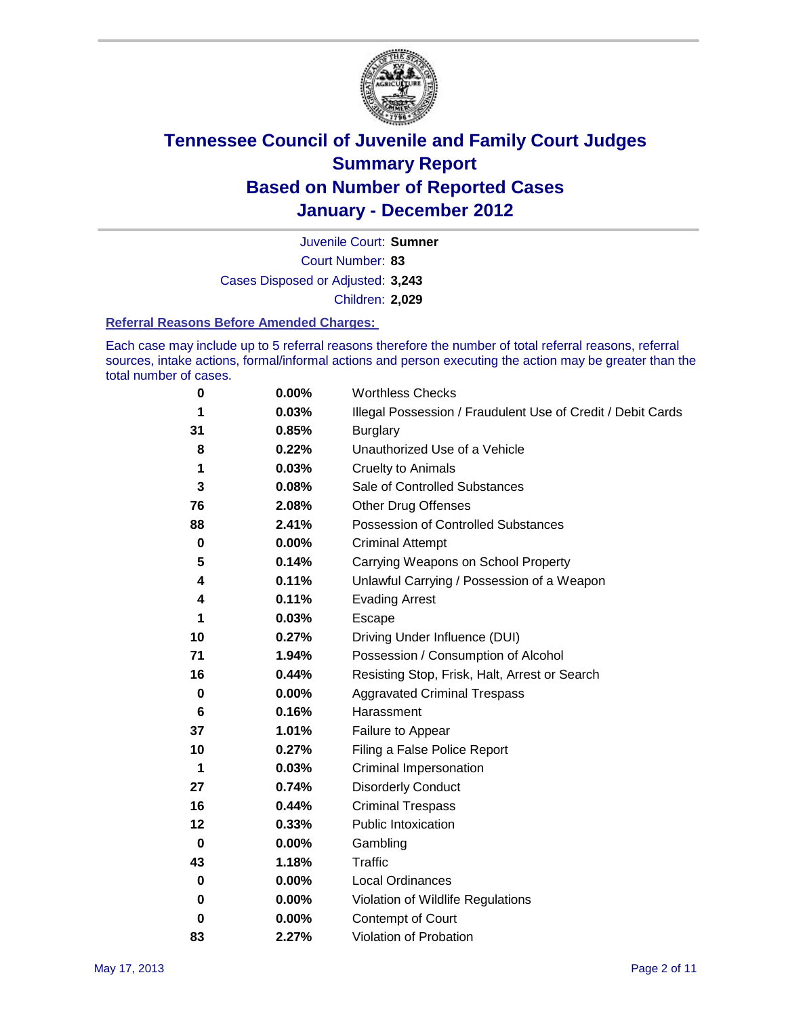

Court Number: **83** Juvenile Court: **Sumner** Cases Disposed or Adjusted: **3,243** Children: **2,029**

#### **Referral Reasons Before Amended Charges:**

Each case may include up to 5 referral reasons therefore the number of total referral reasons, referral sources, intake actions, formal/informal actions and person executing the action may be greater than the total number of cases.

| 0  | 0.00% | <b>Worthless Checks</b>                                     |
|----|-------|-------------------------------------------------------------|
| 1  | 0.03% | Illegal Possession / Fraudulent Use of Credit / Debit Cards |
| 31 | 0.85% | <b>Burglary</b>                                             |
| 8  | 0.22% | Unauthorized Use of a Vehicle                               |
| 1  | 0.03% | <b>Cruelty to Animals</b>                                   |
| 3  | 0.08% | Sale of Controlled Substances                               |
| 76 | 2.08% | <b>Other Drug Offenses</b>                                  |
| 88 | 2.41% | Possession of Controlled Substances                         |
| 0  | 0.00% | <b>Criminal Attempt</b>                                     |
| 5  | 0.14% | Carrying Weapons on School Property                         |
| 4  | 0.11% | Unlawful Carrying / Possession of a Weapon                  |
| 4  | 0.11% | <b>Evading Arrest</b>                                       |
| 1  | 0.03% | Escape                                                      |
| 10 | 0.27% | Driving Under Influence (DUI)                               |
| 71 | 1.94% | Possession / Consumption of Alcohol                         |
| 16 | 0.44% | Resisting Stop, Frisk, Halt, Arrest or Search               |
| 0  | 0.00% | <b>Aggravated Criminal Trespass</b>                         |
| 6  | 0.16% | Harassment                                                  |
| 37 | 1.01% | Failure to Appear                                           |
| 10 | 0.27% | Filing a False Police Report                                |
| 1  | 0.03% | Criminal Impersonation                                      |
| 27 | 0.74% | <b>Disorderly Conduct</b>                                   |
| 16 | 0.44% | <b>Criminal Trespass</b>                                    |
| 12 | 0.33% | Public Intoxication                                         |
| 0  | 0.00% | Gambling                                                    |
| 43 | 1.18% | <b>Traffic</b>                                              |
| 0  | 0.00% | Local Ordinances                                            |
| 0  | 0.00% | Violation of Wildlife Regulations                           |
| 0  | 0.00% | Contempt of Court                                           |
| 83 | 2.27% | Violation of Probation                                      |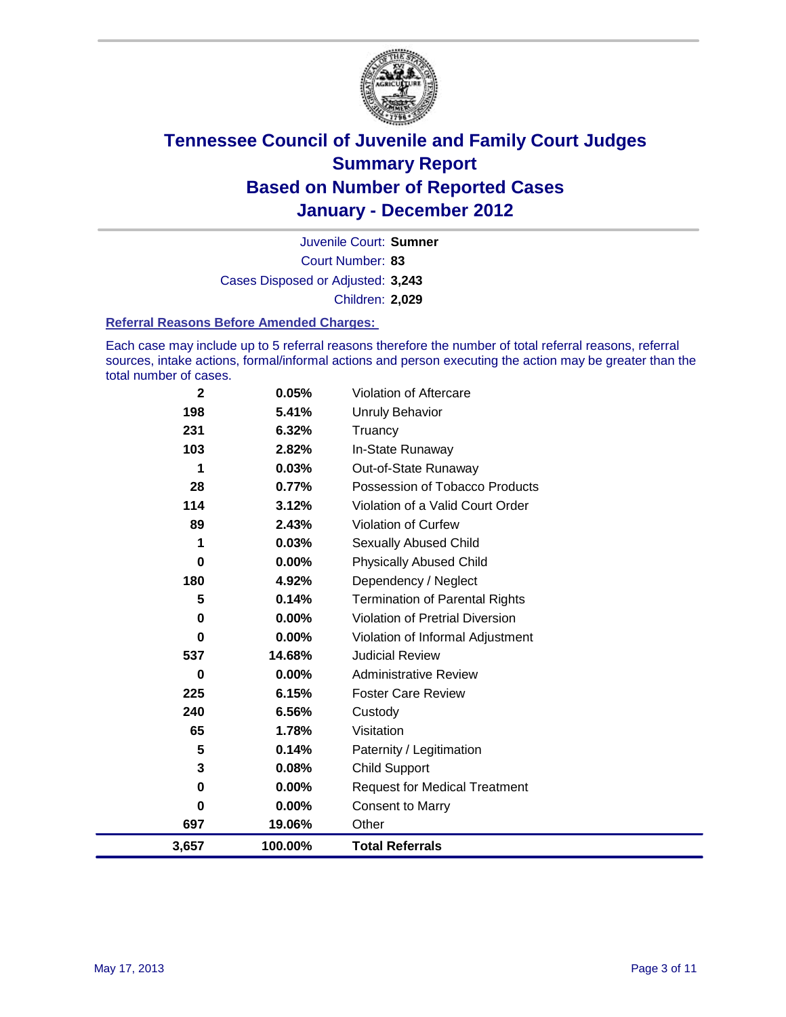

Court Number: **83** Juvenile Court: **Sumner** Cases Disposed or Adjusted: **3,243** Children: **2,029**

#### **Referral Reasons Before Amended Charges:**

Each case may include up to 5 referral reasons therefore the number of total referral reasons, referral sources, intake actions, formal/informal actions and person executing the action may be greater than the total number of cases.

| $\mathbf{2}$ | 0.05%    | Violation of Aftercare                 |
|--------------|----------|----------------------------------------|
| 198          | 5.41%    | <b>Unruly Behavior</b>                 |
| 231          | 6.32%    | Truancy                                |
| 103          | 2.82%    | In-State Runaway                       |
| 1            | 0.03%    | Out-of-State Runaway                   |
| 28           | 0.77%    | Possession of Tobacco Products         |
| 114          | 3.12%    | Violation of a Valid Court Order       |
| 89           | 2.43%    | <b>Violation of Curfew</b>             |
| 1            | 0.03%    | <b>Sexually Abused Child</b>           |
| $\bf{0}$     | $0.00\%$ | <b>Physically Abused Child</b>         |
| 180          | 4.92%    | Dependency / Neglect                   |
| 5            | 0.14%    | <b>Termination of Parental Rights</b>  |
| $\mathbf 0$  | 0.00%    | <b>Violation of Pretrial Diversion</b> |
| $\mathbf 0$  | 0.00%    | Violation of Informal Adjustment       |
| 537          | 14.68%   | <b>Judicial Review</b>                 |
| $\bf{0}$     | $0.00\%$ | <b>Administrative Review</b>           |
| 225          | 6.15%    | <b>Foster Care Review</b>              |
| 240          | 6.56%    | Custody                                |
| 65           | 1.78%    | Visitation                             |
| 5            | 0.14%    | Paternity / Legitimation               |
| 3            | 0.08%    | Child Support                          |
| $\bf{0}$     | 0.00%    | <b>Request for Medical Treatment</b>   |
| 0            | 0.00%    | <b>Consent to Marry</b>                |
| 697          | 19.06%   | Other                                  |
| 3,657        | 100.00%  | <b>Total Referrals</b>                 |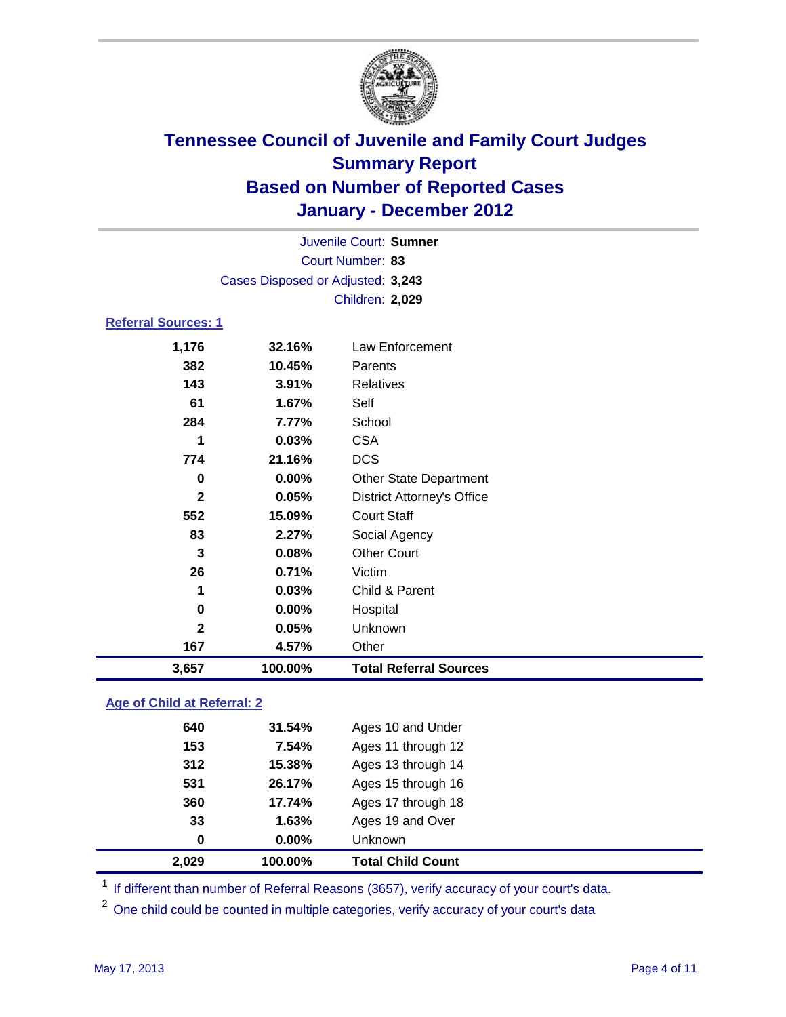

| Juvenile Court: Sumner     |                                   |                                   |  |  |  |
|----------------------------|-----------------------------------|-----------------------------------|--|--|--|
|                            | Court Number: 83                  |                                   |  |  |  |
|                            | Cases Disposed or Adjusted: 3,243 |                                   |  |  |  |
|                            | <b>Children: 2,029</b>            |                                   |  |  |  |
| <b>Referral Sources: 1</b> |                                   |                                   |  |  |  |
| 1,176                      | 32.16%                            | Law Enforcement                   |  |  |  |
| 382                        | 10.45%                            | Parents                           |  |  |  |
| 143                        | 3.91%                             | Relatives                         |  |  |  |
| 61                         | 1.67%                             | Self                              |  |  |  |
| 284                        | 7.77%                             | School                            |  |  |  |
| 1                          | 0.03%                             | <b>CSA</b>                        |  |  |  |
| 774                        | 21.16%                            | <b>DCS</b>                        |  |  |  |
| 0                          | 0.00%                             | Other State Department            |  |  |  |
| $\mathbf{2}$               | 0.05%                             | <b>District Attorney's Office</b> |  |  |  |
| 552                        | 15.09%                            | <b>Court Staff</b>                |  |  |  |
| 83                         | 2.27%                             | Social Agency                     |  |  |  |
| 3                          | 0.08%                             | <b>Other Court</b>                |  |  |  |
| 26                         | 0.71%                             | Victim                            |  |  |  |
| 1                          | 0.03%                             | Child & Parent                    |  |  |  |
| $\bf{0}$                   | 0.00%                             | Hospital                          |  |  |  |
| $\mathbf{2}$               | 0.05%                             | Unknown                           |  |  |  |
| 167                        | 4.57%                             | Other                             |  |  |  |
| 3,657                      | 100.00%                           | <b>Total Referral Sources</b>     |  |  |  |
|                            |                                   |                                   |  |  |  |

### **Age of Child at Referral: 2**

| 360<br>33<br>$\bf{0}$ | 17.74%<br>1.63%<br>0.00% | Ages 17 through 18<br>Ages 19 and Over<br>Unknown |
|-----------------------|--------------------------|---------------------------------------------------|
|                       |                          |                                                   |
|                       |                          |                                                   |
|                       |                          |                                                   |
| 531                   | 26.17%                   | Ages 15 through 16                                |
| 312                   | 15.38%                   | Ages 13 through 14                                |
| 153                   | 7.54%                    | Ages 11 through 12                                |
| 640                   | 31.54%                   | Ages 10 and Under                                 |
|                       |                          |                                                   |

<sup>1</sup> If different than number of Referral Reasons (3657), verify accuracy of your court's data.

<sup>2</sup> One child could be counted in multiple categories, verify accuracy of your court's data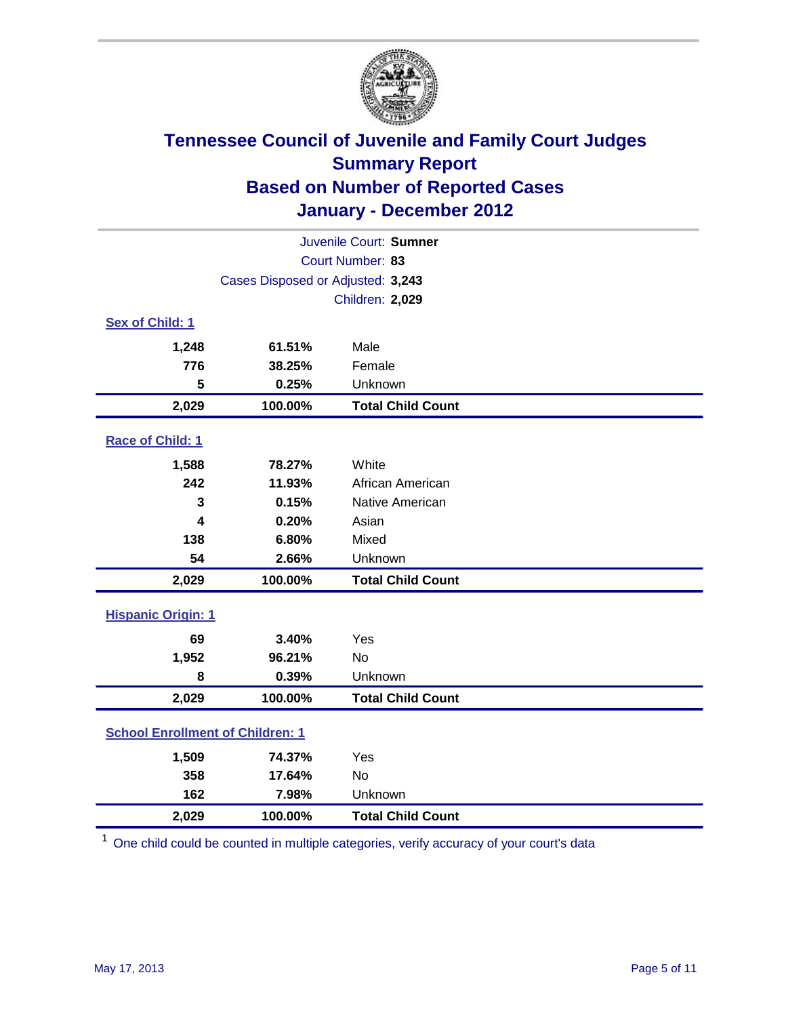

| Juvenile Court: Sumner                  |                                   |                          |  |
|-----------------------------------------|-----------------------------------|--------------------------|--|
|                                         |                                   | Court Number: 83         |  |
|                                         | Cases Disposed or Adjusted: 3,243 |                          |  |
|                                         |                                   | Children: 2,029          |  |
| Sex of Child: 1                         |                                   |                          |  |
| 1,248                                   | 61.51%                            | Male                     |  |
| 776                                     | 38.25%                            | Female                   |  |
| 5                                       | 0.25%                             | Unknown                  |  |
| 2,029                                   | 100.00%                           | <b>Total Child Count</b> |  |
| Race of Child: 1                        |                                   |                          |  |
| 1,588                                   | 78.27%                            | White                    |  |
| 242                                     | 11.93%                            | African American         |  |
| 3                                       | 0.15%                             | Native American          |  |
| 4                                       | 0.20%                             | Asian                    |  |
| 138                                     | 6.80%                             | Mixed                    |  |
| 54                                      | 2.66%                             | Unknown                  |  |
| 2,029                                   | 100.00%                           | <b>Total Child Count</b> |  |
| <b>Hispanic Origin: 1</b>               |                                   |                          |  |
| 69                                      | 3.40%                             | Yes                      |  |
| 1,952                                   | 96.21%                            | No                       |  |
| 8                                       | 0.39%                             | Unknown                  |  |
| 2,029                                   | 100.00%                           | <b>Total Child Count</b> |  |
| <b>School Enrollment of Children: 1</b> |                                   |                          |  |
| 1,509                                   | 74.37%                            | Yes                      |  |
| 358                                     | 17.64%                            | No                       |  |
| 162                                     | 7.98%                             | Unknown                  |  |
| 2,029                                   | 100.00%                           | <b>Total Child Count</b> |  |

<sup>1</sup> One child could be counted in multiple categories, verify accuracy of your court's data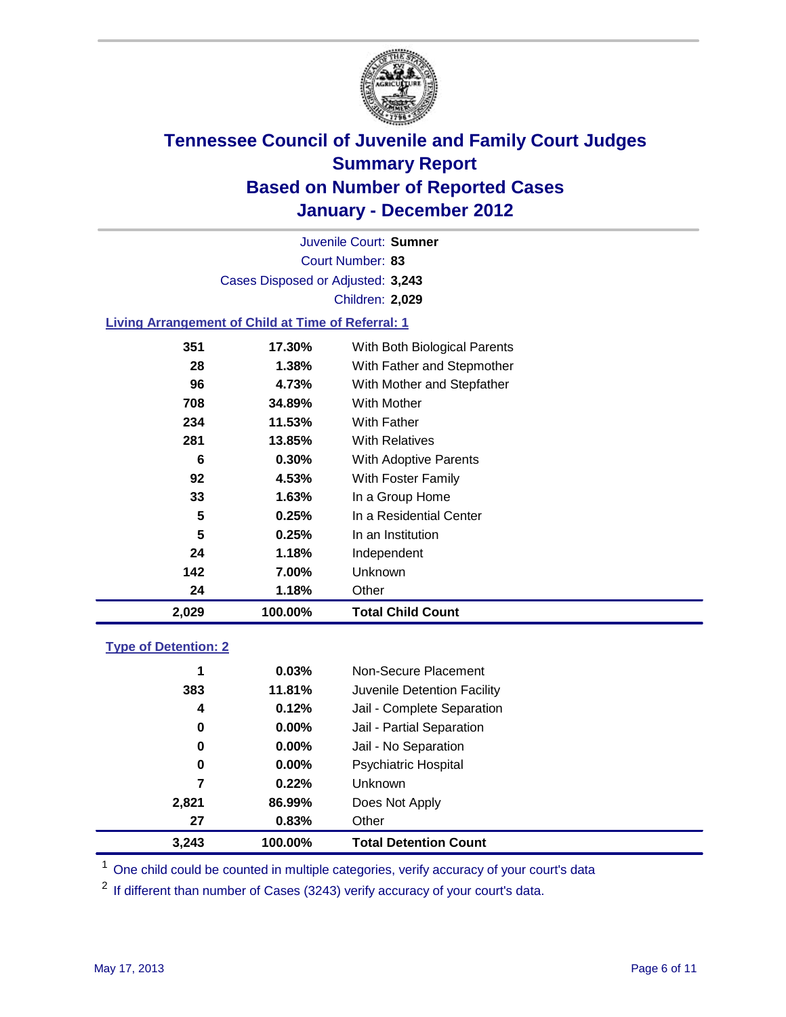

Court Number: **83** Juvenile Court: **Sumner** Cases Disposed or Adjusted: **3,243** Children: **2,029**

### **Living Arrangement of Child at Time of Referral: 1**

| 2,029 | 100.00% | <b>Total Child Count</b>     |  |
|-------|---------|------------------------------|--|
| 24    | 1.18%   | Other                        |  |
| 142   | 7.00%   | Unknown                      |  |
| 24    | 1.18%   | Independent                  |  |
| 5     | 0.25%   | In an Institution            |  |
| 5     | 0.25%   | In a Residential Center      |  |
| 33    | 1.63%   | In a Group Home              |  |
| 92    | 4.53%   | With Foster Family           |  |
| 6     | 0.30%   | With Adoptive Parents        |  |
| 281   | 13.85%  | <b>With Relatives</b>        |  |
| 234   | 11.53%  | <b>With Father</b>           |  |
| 708   | 34.89%  | <b>With Mother</b>           |  |
| 96    | 4.73%   | With Mother and Stepfather   |  |
| 28    | 1.38%   | With Father and Stepmother   |  |
| 351   | 17.30%  | With Both Biological Parents |  |
|       |         |                              |  |

### **Type of Detention: 2**

| 3,243 | 100.00%  | <b>Total Detention Count</b> |  |
|-------|----------|------------------------------|--|
| 27    | 0.83%    | Other                        |  |
| 2,821 | 86.99%   | Does Not Apply               |  |
| 7     | 0.22%    | Unknown                      |  |
| 0     | $0.00\%$ | Psychiatric Hospital         |  |
| 0     | 0.00%    | Jail - No Separation         |  |
| 0     | $0.00\%$ | Jail - Partial Separation    |  |
| 4     | 0.12%    | Jail - Complete Separation   |  |
| 383   | 11.81%   | Juvenile Detention Facility  |  |
| 1     | 0.03%    | Non-Secure Placement         |  |
|       |          |                              |  |

<sup>1</sup> One child could be counted in multiple categories, verify accuracy of your court's data

<sup>2</sup> If different than number of Cases (3243) verify accuracy of your court's data.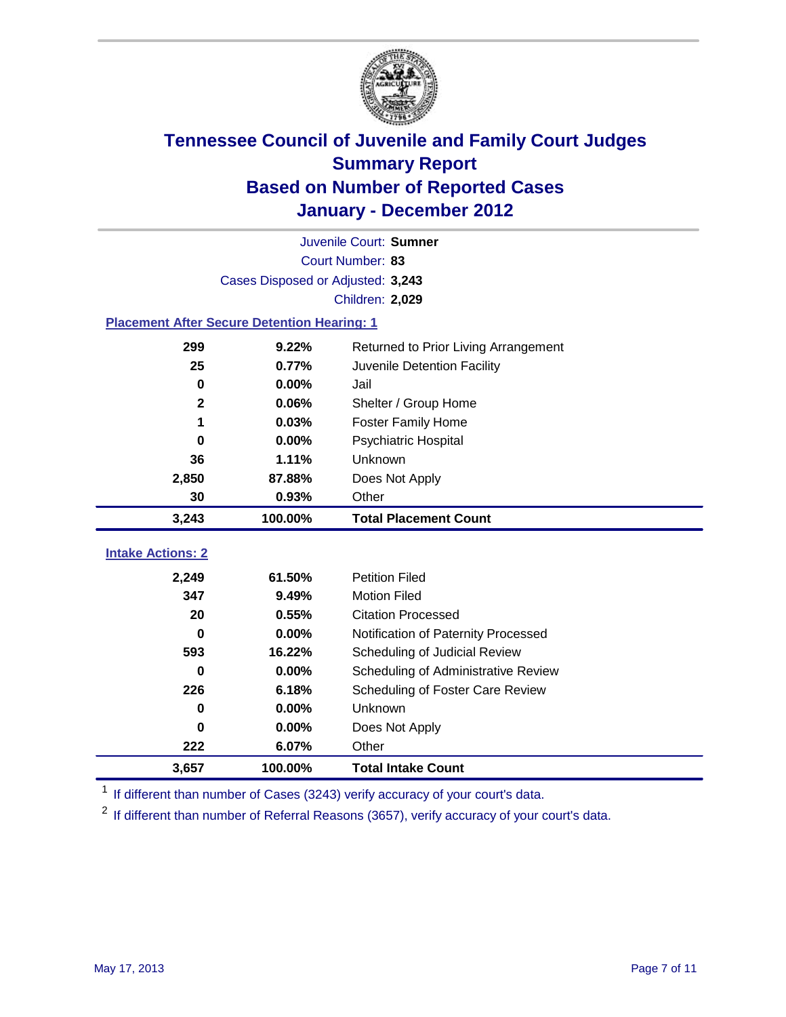

| Juvenile Court: Sumner                             |                                   |                                      |  |  |
|----------------------------------------------------|-----------------------------------|--------------------------------------|--|--|
| Court Number: 83                                   |                                   |                                      |  |  |
|                                                    | Cases Disposed or Adjusted: 3,243 |                                      |  |  |
|                                                    |                                   | Children: 2,029                      |  |  |
| <b>Placement After Secure Detention Hearing: 1</b> |                                   |                                      |  |  |
| 299                                                | 9.22%                             | Returned to Prior Living Arrangement |  |  |
| 25                                                 | 0.77%                             | Juvenile Detention Facility          |  |  |
| $\mathbf 0$                                        | 0.00%                             | Jail                                 |  |  |
| $\mathbf{2}$                                       | 0.06%                             | Shelter / Group Home                 |  |  |
| 1                                                  | 0.03%                             | <b>Foster Family Home</b>            |  |  |
| 0                                                  | 0.00%                             | Psychiatric Hospital                 |  |  |
| 36                                                 | 1.11%                             | Unknown                              |  |  |
| 2,850                                              | 87.88%                            | Does Not Apply                       |  |  |
| 30                                                 | 0.93%                             | Other                                |  |  |
| 3,243                                              | 100.00%                           | <b>Total Placement Count</b>         |  |  |
| <b>Intake Actions: 2</b>                           |                                   |                                      |  |  |
|                                                    |                                   |                                      |  |  |
| 2,249                                              | 61.50%                            | <b>Petition Filed</b>                |  |  |
| 347                                                | 9.49%                             | <b>Motion Filed</b>                  |  |  |
| 20                                                 | 0.55%                             | <b>Citation Processed</b>            |  |  |
| 0                                                  | 0.00%                             | Notification of Paternity Processed  |  |  |
| 593                                                | 16.22%                            | Scheduling of Judicial Review        |  |  |
| 0                                                  | 0.00%                             | Scheduling of Administrative Review  |  |  |
| 226                                                | 6.18%                             | Scheduling of Foster Care Review     |  |  |
| 0                                                  | 0.00%                             | Unknown                              |  |  |
| 0                                                  | 0.00%                             | Does Not Apply                       |  |  |
| 222                                                | 6.07%                             | Other                                |  |  |
| 3,657                                              | 100.00%                           | <b>Total Intake Count</b>            |  |  |

<sup>1</sup> If different than number of Cases (3243) verify accuracy of your court's data.

<sup>2</sup> If different than number of Referral Reasons (3657), verify accuracy of your court's data.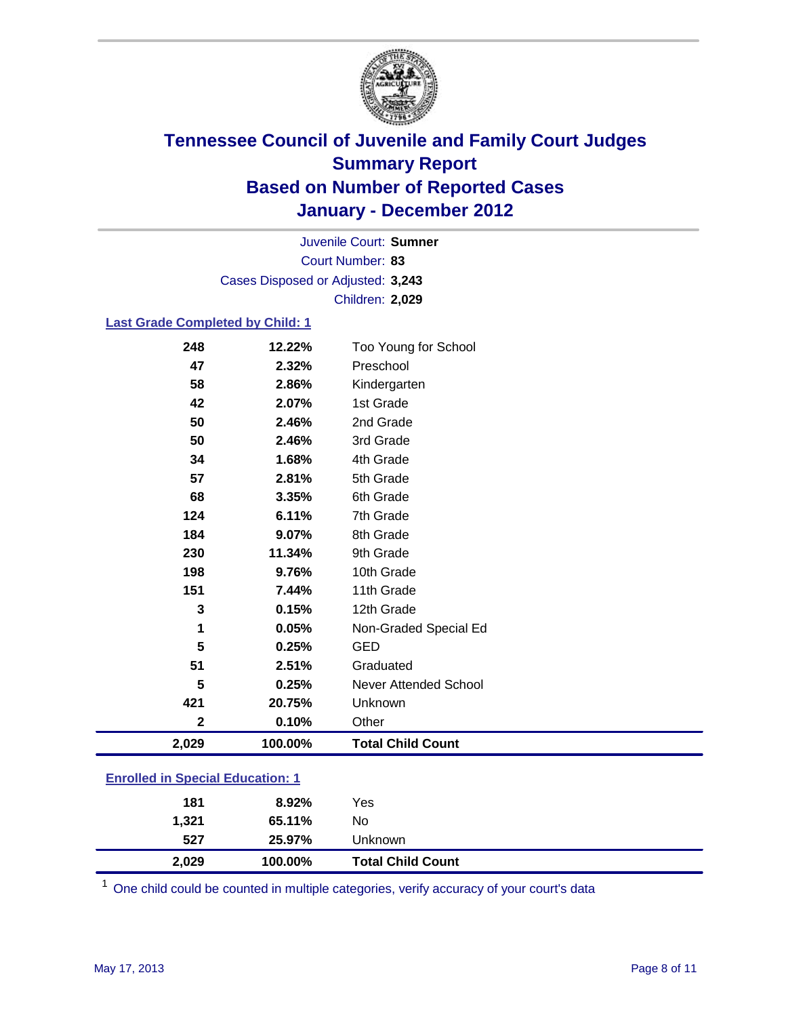

Court Number: **83** Juvenile Court: **Sumner** Cases Disposed or Adjusted: **3,243** Children: **2,029**

#### **Last Grade Completed by Child: 1**

| <b>Enrolled in Special Education: 1</b> |         |                              |  |  |
|-----------------------------------------|---------|------------------------------|--|--|
|                                         |         |                              |  |  |
| 2,029                                   | 100.00% | <b>Total Child Count</b>     |  |  |
| $\mathbf{2}$                            | 0.10%   | Other                        |  |  |
| 421                                     | 20.75%  | Unknown                      |  |  |
| 5                                       | 0.25%   | <b>Never Attended School</b> |  |  |
| 51                                      | 2.51%   | Graduated                    |  |  |
| 5                                       | 0.25%   | <b>GED</b>                   |  |  |
| 1                                       | 0.05%   | Non-Graded Special Ed        |  |  |
| 3                                       | 0.15%   | 12th Grade                   |  |  |
| 151                                     | 7.44%   | 11th Grade                   |  |  |
| 198                                     | 9.76%   | 10th Grade                   |  |  |
| 230                                     | 11.34%  | 9th Grade                    |  |  |
| 184                                     | 9.07%   | 8th Grade                    |  |  |
| 124                                     | 6.11%   | 7th Grade                    |  |  |
| 68                                      | 3.35%   | 6th Grade                    |  |  |
| 57                                      | 2.81%   | 5th Grade                    |  |  |
| 34                                      | 1.68%   | 4th Grade                    |  |  |
| 50                                      | 2.46%   | 3rd Grade                    |  |  |
| 50                                      | 2.46%   | 2nd Grade                    |  |  |
| 42                                      | 2.07%   | 1st Grade                    |  |  |
| 58                                      | 2.86%   | Kindergarten                 |  |  |
| 47                                      | 2.32%   | Preschool                    |  |  |
| 248                                     | 12.22%  | Too Young for School         |  |  |

| 527   | 25.97%  | Unknown                  |
|-------|---------|--------------------------|
| 2.029 | 100.00% | <b>Total Child Count</b> |

One child could be counted in multiple categories, verify accuracy of your court's data

**1,321 65.11%** No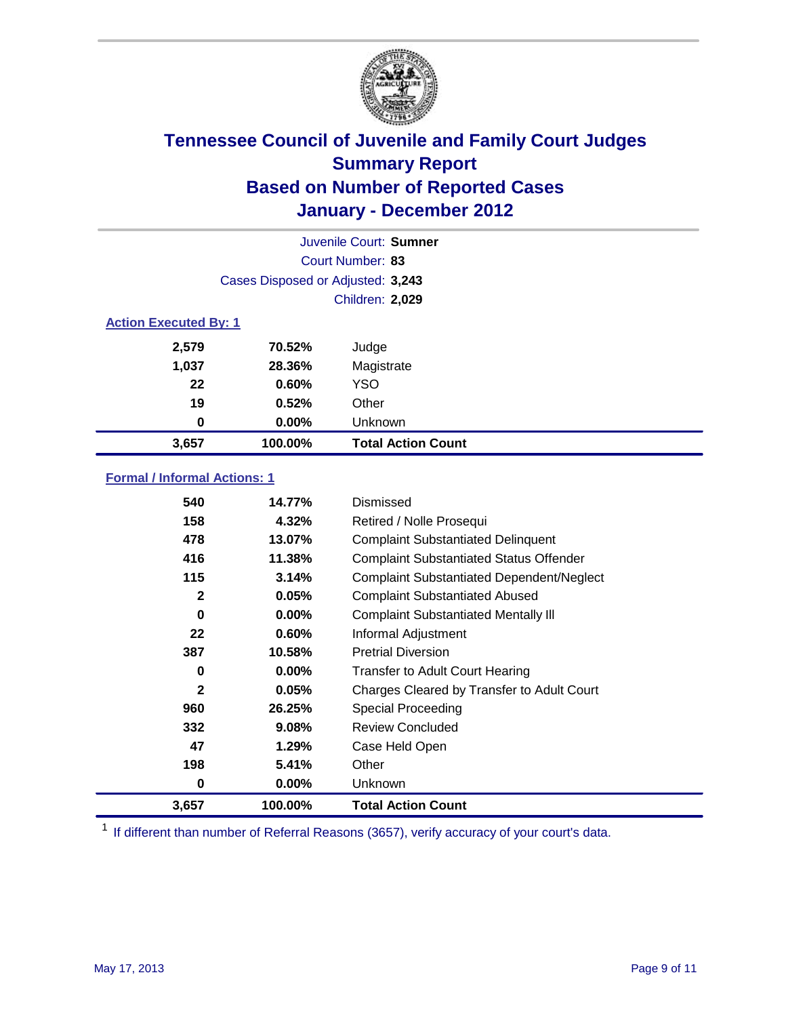

|       |                                   | Juvenile Court: Sumner    |  |  |  |
|-------|-----------------------------------|---------------------------|--|--|--|
|       |                                   | Court Number: 83          |  |  |  |
|       | Cases Disposed or Adjusted: 3,243 |                           |  |  |  |
|       |                                   | Children: 2,029           |  |  |  |
|       | <b>Action Executed By: 1</b>      |                           |  |  |  |
| 2,579 | 70.52%                            | Judge                     |  |  |  |
| 1,037 | 28.36%                            | Magistrate                |  |  |  |
| 22    | 0.60%                             | <b>YSO</b>                |  |  |  |
| 19    | 0.52%                             | Other                     |  |  |  |
| 0     | 0.00%                             | Unknown                   |  |  |  |
| 3,657 | 100.00%                           | <b>Total Action Count</b> |  |  |  |

### **Formal / Informal Actions: 1**

| 540          | 14.77%   | Dismissed                                        |
|--------------|----------|--------------------------------------------------|
| 158          | 4.32%    | Retired / Nolle Prosequi                         |
| 478          | 13.07%   | <b>Complaint Substantiated Delinquent</b>        |
| 416          | 11.38%   | <b>Complaint Substantiated Status Offender</b>   |
| 115          | 3.14%    | <b>Complaint Substantiated Dependent/Neglect</b> |
| $\mathbf{2}$ | 0.05%    | <b>Complaint Substantiated Abused</b>            |
| 0            | $0.00\%$ | <b>Complaint Substantiated Mentally III</b>      |
| 22           | 0.60%    | Informal Adjustment                              |
| 387          | 10.58%   | <b>Pretrial Diversion</b>                        |
| 0            | $0.00\%$ | <b>Transfer to Adult Court Hearing</b>           |
| $\mathbf{2}$ | 0.05%    | Charges Cleared by Transfer to Adult Court       |
| 960          | 26.25%   | Special Proceeding                               |
| 332          | 9.08%    | <b>Review Concluded</b>                          |
| 47           | 1.29%    | Case Held Open                                   |
| 198          | 5.41%    | Other                                            |
| 0            | $0.00\%$ | <b>Unknown</b>                                   |
| 3,657        | 100.00%  | <b>Total Action Count</b>                        |

<sup>1</sup> If different than number of Referral Reasons (3657), verify accuracy of your court's data.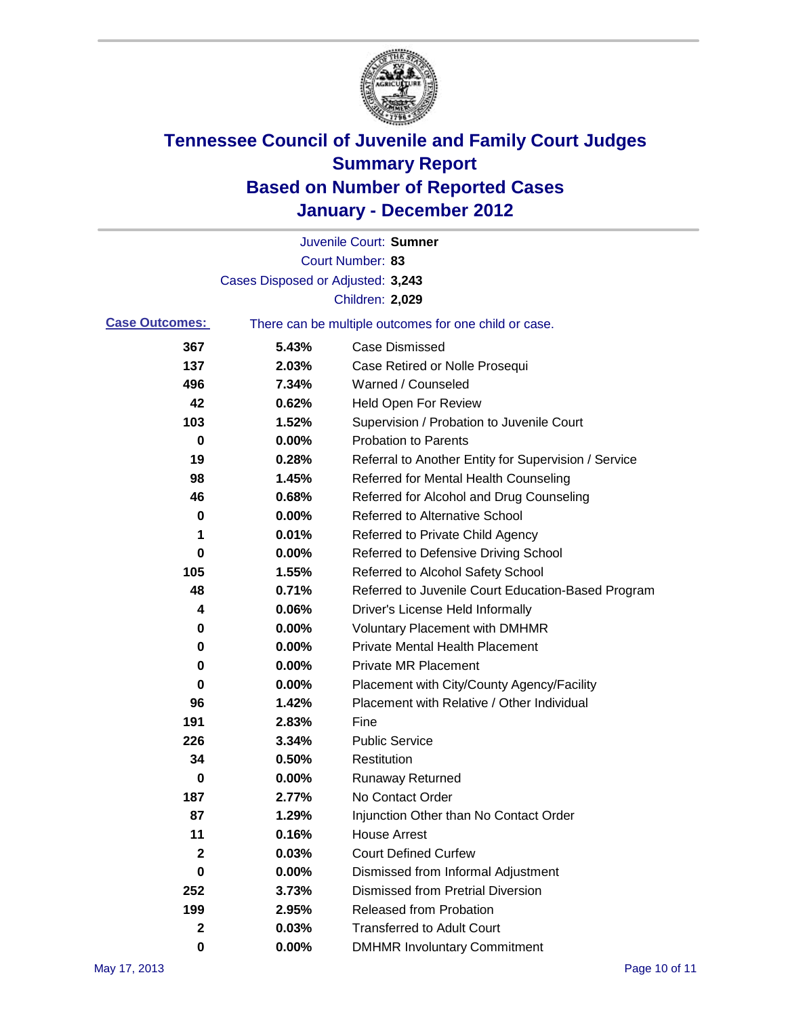

|                       |                                   | Juvenile Court: Sumner                                |
|-----------------------|-----------------------------------|-------------------------------------------------------|
|                       |                                   | Court Number: 83                                      |
|                       | Cases Disposed or Adjusted: 3,243 |                                                       |
|                       |                                   | Children: 2,029                                       |
| <b>Case Outcomes:</b> |                                   | There can be multiple outcomes for one child or case. |
| 367                   | 5.43%                             | <b>Case Dismissed</b>                                 |
| 137                   | 2.03%                             | Case Retired or Nolle Prosequi                        |
| 496                   | 7.34%                             | Warned / Counseled                                    |
| 42                    | 0.62%                             | <b>Held Open For Review</b>                           |
| 103                   | 1.52%                             | Supervision / Probation to Juvenile Court             |
| 0                     | 0.00%                             | <b>Probation to Parents</b>                           |
| 19                    | 0.28%                             | Referral to Another Entity for Supervision / Service  |
| 98                    | 1.45%                             | Referred for Mental Health Counseling                 |
| 46                    | 0.68%                             | Referred for Alcohol and Drug Counseling              |
| 0                     | 0.00%                             | <b>Referred to Alternative School</b>                 |
| 1                     | 0.01%                             | Referred to Private Child Agency                      |
| 0                     | 0.00%                             | Referred to Defensive Driving School                  |
| 105                   | 1.55%                             | Referred to Alcohol Safety School                     |
| 48                    | 0.71%                             | Referred to Juvenile Court Education-Based Program    |
| 4                     | 0.06%                             | Driver's License Held Informally                      |
| 0                     | 0.00%                             | <b>Voluntary Placement with DMHMR</b>                 |
| 0                     | 0.00%                             | <b>Private Mental Health Placement</b>                |
| 0                     | 0.00%                             | <b>Private MR Placement</b>                           |
| 0                     | 0.00%                             | Placement with City/County Agency/Facility            |
| 96                    | 1.42%                             | Placement with Relative / Other Individual            |
| 191                   | 2.83%                             | Fine                                                  |
| 226                   | 3.34%                             | <b>Public Service</b>                                 |
| 34                    | 0.50%                             | Restitution                                           |
| 0                     | 0.00%                             | <b>Runaway Returned</b>                               |
| 187                   | 2.77%                             | No Contact Order                                      |
| 87                    | 1.29%                             | Injunction Other than No Contact Order                |
| 11                    | 0.16%                             | <b>House Arrest</b>                                   |
| 2                     | 0.03%                             | <b>Court Defined Curfew</b>                           |
| 0                     | 0.00%                             | Dismissed from Informal Adjustment                    |
| 252                   | 3.73%                             | <b>Dismissed from Pretrial Diversion</b>              |
| 199                   | 2.95%                             | Released from Probation                               |
| 2                     | 0.03%                             | <b>Transferred to Adult Court</b>                     |
| $\mathbf 0$           | $0.00\%$                          | <b>DMHMR Involuntary Commitment</b>                   |